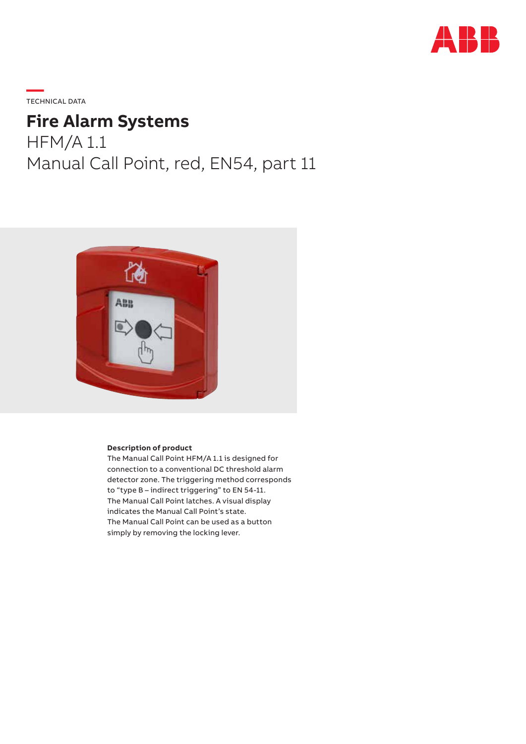

**—**  TECHNICAL DATA

# **Fire Alarm Systems**

HFM/A 1.1 Manual Call Point, red, EN54, part 11



#### **Description of product**

The Manual Call Point HFM/A 1.1 is designed for connection to a conventional DC threshold alarm detector zone. The triggering method corresponds to "type B – indirect triggering" to EN 54-11. The Manual Call Point latches. A visual display indicates the Manual Call Point's state. The Manual Call Point can be used as a button simply by removing the locking lever.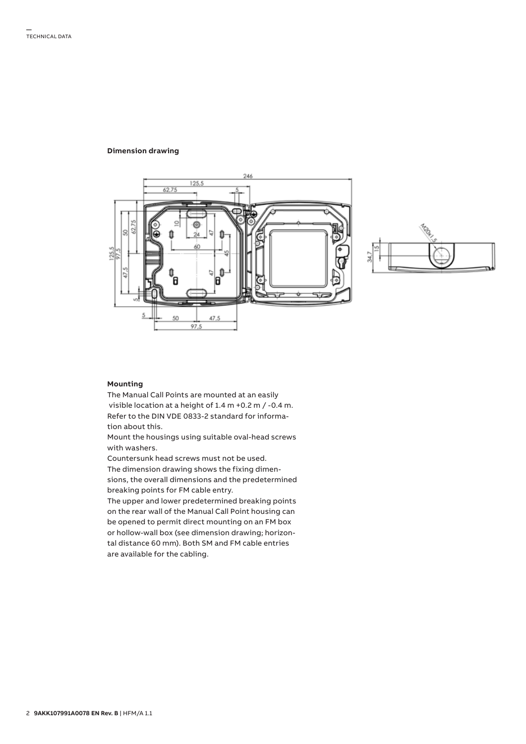#### **Dimension drawing**





#### **Mounting**

The Manual Call Points are mounted at an easily visible location at a height of 1.4 m +0.2 m / -0.4 m. Refer to the DIN VDE 0833-2 standard for information about this.

Mount the housings using suitable oval-head screws with washers.

Countersunk head screws must not be used. The dimension drawing shows the fixing dimensions, the overall dimensions and the predetermined breaking points for FM cable entry.

The upper and lower predetermined breaking points on the rear wall of the Manual Call Point housing can be opened to permit direct mounting on an FM box or hollow-wall box (see dimension drawing; horizontal distance 60 mm). Both SM and FM cable entries are available for the cabling.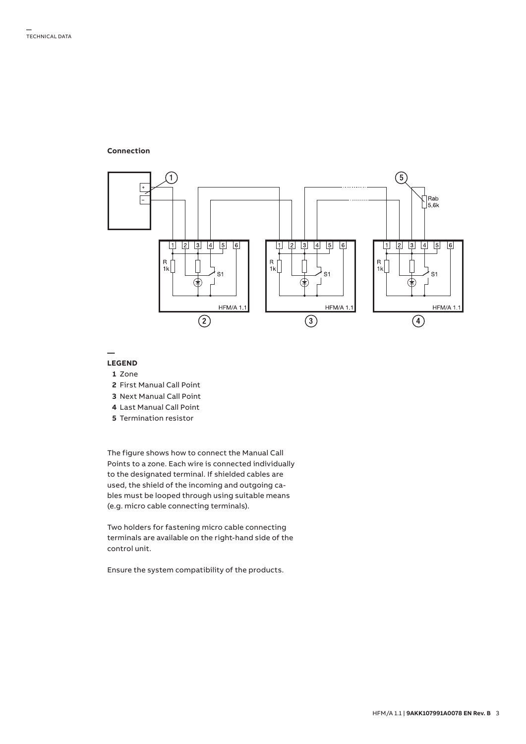#### **Connection**



**—**

#### **LEGEND**

- **1** Zone
- **2** First Manual Call Point
- **3** Next Manual Call Point
- **4** Last Manual Call Point
- **5** Termination resistor

The figure shows how to connect the Manual Call Points to a zone. Each wire is connected individually to the designated terminal. If shielded cables are used, the shield of the incoming and outgoing cables must be looped through using suitable means (e.g. micro cable connecting terminals).

Two holders for fastening micro cable connecting terminals are available on the right-hand side of the control unit.

Ensure the system compatibility of the products.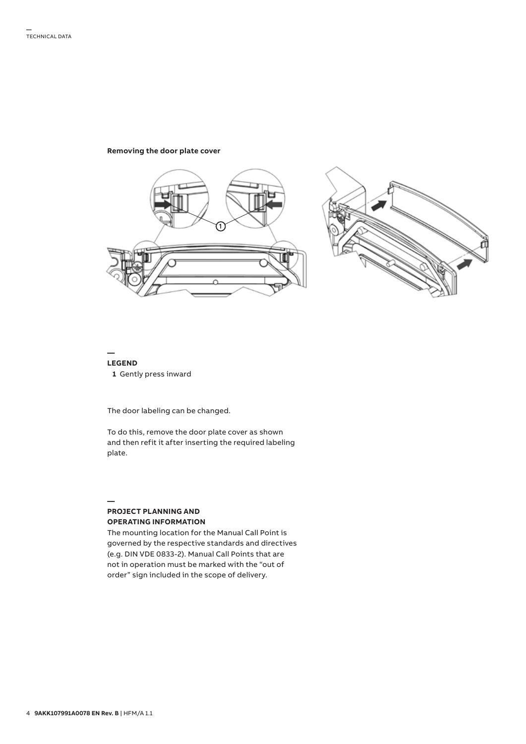#### **Removing the door plate cover**



#### **— LEGEND   1** Gently press inward

The door labeling can be changed.

To do this, remove the door plate cover as shown and then refit it after inserting the required labeling plate.

#### **— PROJECT PLANNING AND OPERATING INFORMATION**

The mounting location for the Manual Call Point is governed by the respective standards and directives (e.g. DIN VDE 0833-2). Manual Call Points that are not in operation must be marked with the "out of order" sign included in the scope of delivery.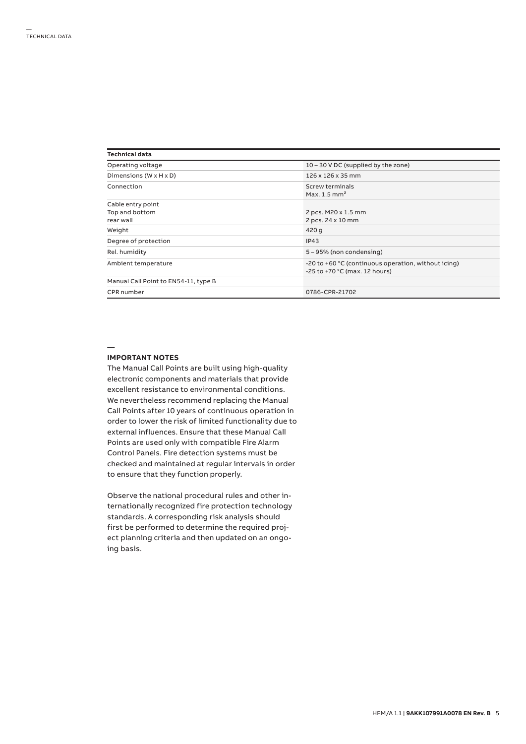| Technical data                                   |                                                                                      |  |  |
|--------------------------------------------------|--------------------------------------------------------------------------------------|--|--|
| Operating voltage                                | 10 – 30 V DC (supplied by the zone)                                                  |  |  |
| Dimensions (W x H x D)                           | 126 x 126 x 35 mm                                                                    |  |  |
| Connection                                       | Screw terminals<br>Max. $1.5$ mm <sup>2</sup>                                        |  |  |
| Cable entry point<br>Top and bottom<br>rear wall | 2 pcs. M20 x 1.5 mm<br>2 pcs. 24 x 10 mm                                             |  |  |
| Weight                                           | 420 g                                                                                |  |  |
| Degree of protection                             | IP43                                                                                 |  |  |
| Rel. humidity                                    | 5 – 95% (non condensing)                                                             |  |  |
| Ambient temperature                              | -20 to +60 °C (continuous operation, without icing)<br>-25 to +70 °C (max. 12 hours) |  |  |
| Manual Call Point to EN54-11, type B             |                                                                                      |  |  |
| CPR number                                       | 0786-CPR-21702                                                                       |  |  |

## **—**

#### **IMPORTANT NOTES**

The Manual Call Points are built using high-quality electronic components and materials that provide excellent resistance to environmental conditions. We nevertheless recommend replacing the Manual Call Points after 10 years of continuous operation in order to lower the risk of limited functionality due to external influences. Ensure that these Manual Call Points are used only with compatible Fire Alarm Control Panels. Fire detection systems must be checked and maintained at regular intervals in order to ensure that they function properly.

Observe the national procedural rules and other internationally recognized fire protection technology standards. A corresponding risk analysis should first be performed to determine the required project planning criteria and then updated on an ongoing basis.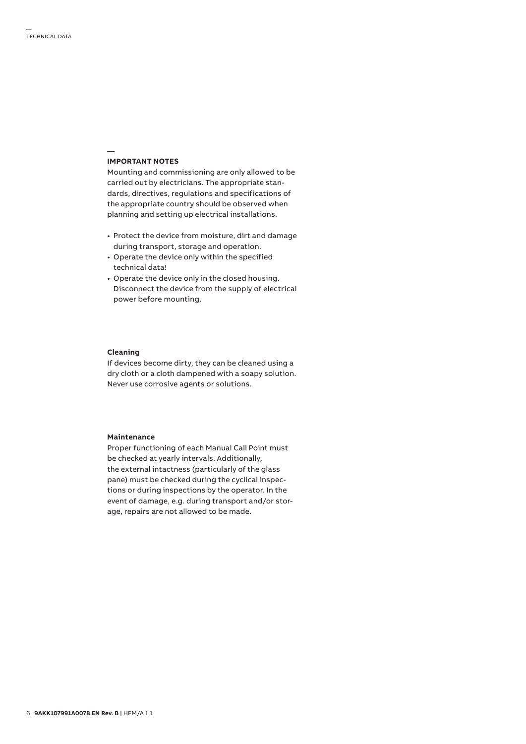#### **IMPORTANT NOTES**

**—**

Mounting and commissioning are only allowed to be carried out by electricians. The appropriate standards, directives, regulations and specifications of the appropriate country should be observed when planning and setting up electrical installations.

- Protect the device from moisture, dirt and damage during transport, storage and operation.
- Operate the device only within the specified technical data!
- Operate the device only in the closed housing. Disconnect the device from the supply of electrical power before mounting.

### **Cleaning**

If devices become dirty, they can be cleaned using a dry cloth or a cloth dampened with a soapy solution. Never use corrosive agents or solutions.

#### **Maintenance**

Proper functioning of each Manual Call Point must be checked at yearly intervals. Additionally, the external intactness (particularly of the glass pane) must be checked during the cyclical inspections or during inspections by the operator. In the event of damage, e.g. during transport and/or storage, repairs are not allowed to be made.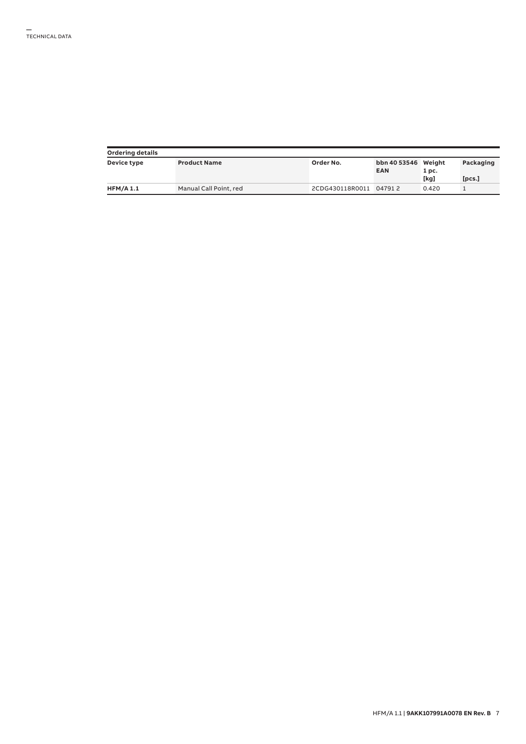| <b>Ordering details</b> |                        |                        |                                   |       |           |  |  |
|-------------------------|------------------------|------------------------|-----------------------------------|-------|-----------|--|--|
| Device type             | <b>Product Name</b>    | Order No.              | bbn 40 53546 Weight<br><b>EAN</b> | 1 pc. | Packaging |  |  |
|                         |                        |                        |                                   | [kg]  | [pcs.]    |  |  |
| <b>HFM/A 1.1</b>        | Manual Call Point, red | 2CDG430118R0011 047912 |                                   | 0.420 |           |  |  |